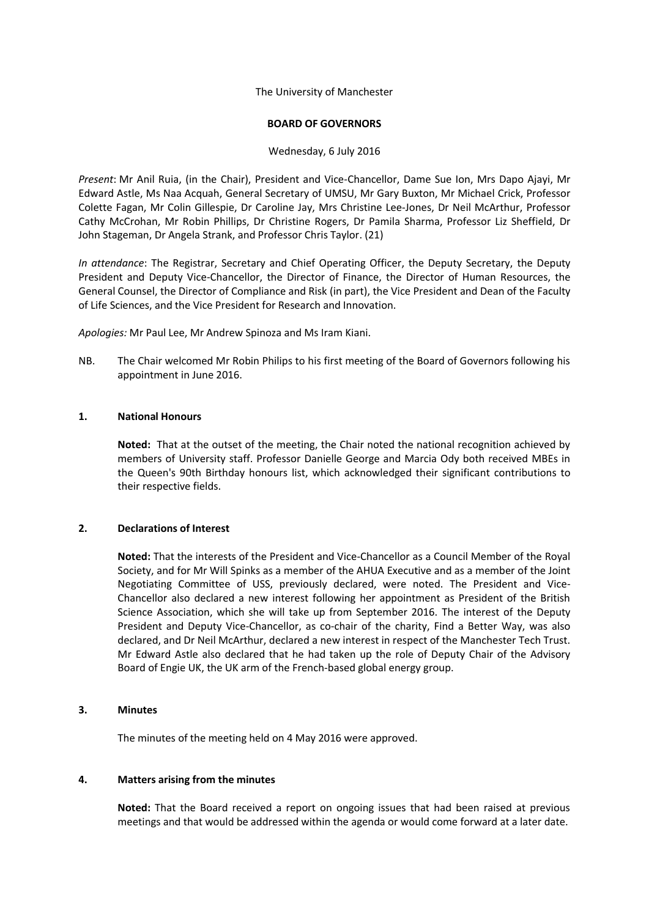The University of Manchester

#### **BOARD OF GOVERNORS**

### Wednesday, 6 July 2016

*Present*: Mr Anil Ruia, (in the Chair), President and Vice-Chancellor, Dame Sue Ion, Mrs Dapo Ajayi, Mr Edward Astle, Ms Naa Acquah, General Secretary of UMSU, Mr Gary Buxton, Mr Michael Crick, Professor Colette Fagan, Mr Colin Gillespie, Dr Caroline Jay, Mrs Christine Lee-Jones, Dr Neil McArthur, Professor Cathy McCrohan, Mr Robin Phillips, Dr Christine Rogers, Dr Pamila Sharma, Professor Liz Sheffield, Dr John Stageman, Dr Angela Strank, and Professor Chris Taylor. (21)

*In attendance*: The Registrar, Secretary and Chief Operating Officer, the Deputy Secretary, the Deputy President and Deputy Vice-Chancellor, the Director of Finance, the Director of Human Resources, the General Counsel, the Director of Compliance and Risk (in part), the Vice President and Dean of the Faculty of Life Sciences, and the Vice President for Research and Innovation.

*Apologies:* Mr Paul Lee, Mr Andrew Spinoza and Ms Iram Kiani.

NB. The Chair welcomed Mr Robin Philips to his first meeting of the Board of Governors following his appointment in June 2016.

#### **1. National Honours**

**Noted:** That at the outset of the meeting, the Chair noted the national recognition achieved by members of University staff. Professor Danielle George and Marcia Ody both received MBEs in the Queen's 90th Birthday honours list, which acknowledged their significant contributions to their respective fields.

### **2. Declarations of Interest**

**Noted:** That the interests of the President and Vice-Chancellor as a Council Member of the Royal Society, and for Mr Will Spinks as a member of the AHUA Executive and as a member of the Joint Negotiating Committee of USS, previously declared, were noted. The President and Vice-Chancellor also declared a new interest following her appointment as President of the British Science Association, which she will take up from September 2016. The interest of the Deputy President and Deputy Vice-Chancellor, as co-chair of the charity, Find a Better Way, was also declared, and Dr Neil McArthur, declared a new interest in respect of the Manchester Tech Trust. Mr Edward Astle also declared that he had taken up the role of Deputy Chair of the Advisory Board of Engie UK, the UK arm of the French-based global energy group.

### **3. Minutes**

The minutes of the meeting held on 4 May 2016 were approved.

### **4. Matters arising from the minutes**

**Noted:** That the Board received a report on ongoing issues that had been raised at previous meetings and that would be addressed within the agenda or would come forward at a later date.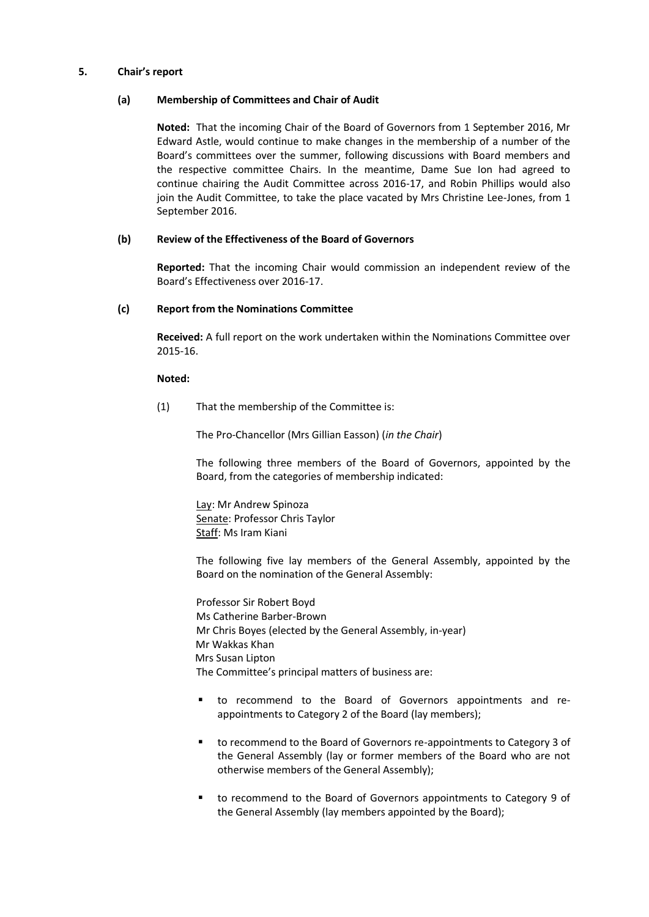### **5. Chair's report**

### **(a) Membership of Committees and Chair of Audit**

**Noted:** That the incoming Chair of the Board of Governors from 1 September 2016, Mr Edward Astle, would continue to make changes in the membership of a number of the Board's committees over the summer, following discussions with Board members and the respective committee Chairs. In the meantime, Dame Sue Ion had agreed to continue chairing the Audit Committee across 2016-17, and Robin Phillips would also join the Audit Committee, to take the place vacated by Mrs Christine Lee-Jones, from 1 September 2016.

# **(b) Review of the Effectiveness of the Board of Governors**

**Reported:** That the incoming Chair would commission an independent review of the Board's Effectiveness over 2016-17.

### **(c) Report from the Nominations Committee**

**Received:** A full report on the work undertaken within the Nominations Committee over 2015-16.

### **Noted:**

(1) That the membership of the Committee is:

The Pro-Chancellor (Mrs Gillian Easson) (*in the Chair*)

The following three members of the Board of Governors, appointed by the Board, from the categories of membership indicated:

Lay: Mr Andrew Spinoza Senate: Professor Chris Taylor Staff: Ms Iram Kiani

The following five lay members of the General Assembly, appointed by the Board on the nomination of the General Assembly:

Professor Sir Robert Boyd Ms Catherine Barber-Brown Mr Chris Boyes (elected by the General Assembly, in-year) Mr Wakkas Khan Mrs Susan Lipton The Committee's principal matters of business are:

- to recommend to the Board of Governors appointments and reappointments to Category 2 of the Board (lay members);
- to recommend to the Board of Governors re-appointments to Category 3 of the General Assembly (lay or former members of the Board who are not otherwise members of the General Assembly);
- to recommend to the Board of Governors appointments to Category 9 of the General Assembly (lay members appointed by the Board);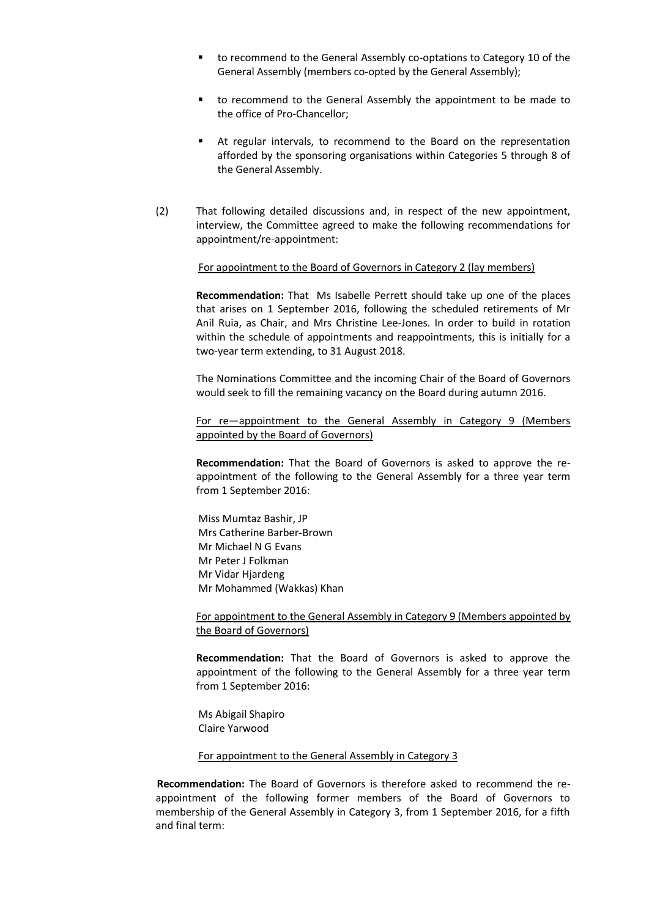- to recommend to the General Assembly co-optations to Category 10 of the General Assembly (members co-opted by the General Assembly);
- to recommend to the General Assembly the appointment to be made to the office of Pro-Chancellor;
- At regular intervals, to recommend to the Board on the representation afforded by the sponsoring organisations within Categories 5 through 8 of the General Assembly.
- (2) That following detailed discussions and, in respect of the new appointment, interview, the Committee agreed to make the following recommendations for appointment/re-appointment:

#### For appointment to the Board of Governors in Category 2 (lay members)

**Recommendation:** That Ms Isabelle Perrett should take up one of the places that arises on 1 September 2016, following the scheduled retirements of Mr Anil Ruia, as Chair, and Mrs Christine Lee-Jones. In order to build in rotation within the schedule of appointments and reappointments, this is initially for a two-year term extending, to 31 August 2018.

The Nominations Committee and the incoming Chair of the Board of Governors would seek to fill the remaining vacancy on the Board during autumn 2016.

For re—appointment to the General Assembly in Category 9 (Members appointed by the Board of Governors)

**Recommendation:** That the Board of Governors is asked to approve the reappointment of the following to the General Assembly for a three year term from 1 September 2016:

Miss Mumtaz Bashir, JP Mrs Catherine Barber-Brown Mr Michael N G Evans Mr Peter J Folkman Mr Vidar Hjardeng Mr Mohammed (Wakkas) Khan

For appointment to the General Assembly in Category 9 (Members appointed by the Board of Governors)

**Recommendation:** That the Board of Governors is asked to approve the appointment of the following to the General Assembly for a three year term from 1 September 2016:

Ms Abigail Shapiro Claire Yarwood

# For appointment to the General Assembly in Category 3

**Recommendation:** The Board of Governors is therefore asked to recommend the reappointment of the following former members of the Board of Governors to membership of the General Assembly in Category 3, from 1 September 2016, for a fifth and final term: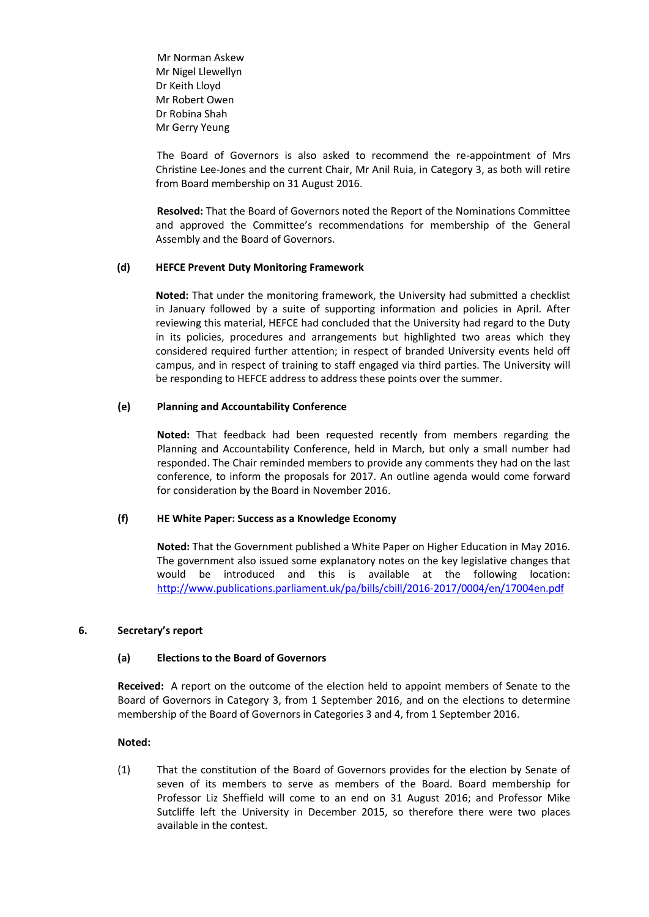Mr Norman Askew Mr Nigel Llewellyn Dr Keith Lloyd Mr Robert Owen Dr Robina Shah Mr Gerry Yeung

The Board of Governors is also asked to recommend the re-appointment of Mrs Christine Lee-Jones and the current Chair, Mr Anil Ruia, in Category 3, as both will retire from Board membership on 31 August 2016.

**Resolved:** That the Board of Governors noted the Report of the Nominations Committee and approved the Committee's recommendations for membership of the General Assembly and the Board of Governors.

### **(d) HEFCE Prevent Duty Monitoring Framework**

**Noted:** That under the monitoring framework, the University had submitted a checklist in January followed by a suite of supporting information and policies in April. After reviewing this material, HEFCE had concluded that the University had regard to the Duty in its policies, procedures and arrangements but highlighted two areas which they considered required further attention; in respect of branded University events held off campus, and in respect of training to staff engaged via third parties. The University will be responding to HEFCE address to address these points over the summer.

### **(e) Planning and Accountability Conference**

**Noted:** That feedback had been requested recently from members regarding the Planning and Accountability Conference, held in March, but only a small number had responded. The Chair reminded members to provide any comments they had on the last conference, to inform the proposals for 2017. An outline agenda would come forward for consideration by the Board in November 2016.

### **(f) HE White Paper: Success as a Knowledge Economy**

**Noted:** That the Government published a White Paper on Higher Education in May 2016. The government also issued some explanatory notes on the key legislative changes that would be introduced and this is available at the following location: <http://www.publications.parliament.uk/pa/bills/cbill/2016-2017/0004/en/17004en.pdf>

### **6. Secretary's report**

# **(a) Elections to the Board of Governors**

**Received:** A report on the outcome of the election held to appoint members of Senate to the Board of Governors in Category 3, from 1 September 2016, and on the elections to determine membership of the Board of Governors in Categories 3 and 4, from 1 September 2016.

### **Noted:**

(1) That the constitution of the Board of Governors provides for the election by Senate of seven of its members to serve as members of the Board. Board membership for Professor Liz Sheffield will come to an end on 31 August 2016; and Professor Mike Sutcliffe left the University in December 2015, so therefore there were two places available in the contest.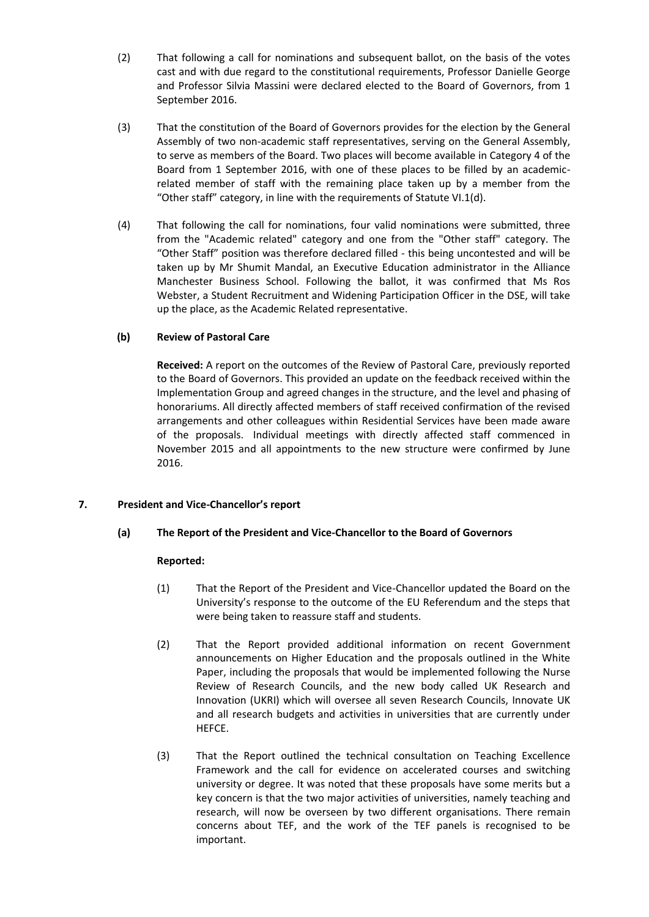- (2) That following a call for nominations and subsequent ballot, on the basis of the votes cast and with due regard to the constitutional requirements, Professor Danielle George and Professor Silvia Massini were declared elected to the Board of Governors, from 1 September 2016.
- (3) That the constitution of the Board of Governors provides for the election by the General Assembly of two non-academic staff representatives, serving on the General Assembly, to serve as members of the Board. Two places will become available in Category 4 of the Board from 1 September 2016, with one of these places to be filled by an academicrelated member of staff with the remaining place taken up by a member from the "Other staff" category, in line with the requirements of Statute VI.1(d).
- (4) That following the call for nominations, four valid nominations were submitted, three from the "Academic related" category and one from the "Other staff" category. The "Other Staff" position was therefore declared filled - this being uncontested and will be taken up by Mr Shumit Mandal, an Executive Education administrator in the Alliance Manchester Business School. Following the ballot, it was confirmed that Ms Ros Webster, a Student Recruitment and Widening Participation Officer in the DSE, will take up the place, as the Academic Related representative.

# **(b) Review of Pastoral Care**

**Received:** A report on the outcomes of the Review of Pastoral Care, previously reported to the Board of Governors. This provided an update on the feedback received within the Implementation Group and agreed changes in the structure, and the level and phasing of honorariums. All directly affected members of staff received confirmation of the revised arrangements and other colleagues within Residential Services have been made aware of the proposals. Individual meetings with directly affected staff commenced in November 2015 and all appointments to the new structure were confirmed by June 2016.

# **7. President and Vice-Chancellor's report**

# **(a) The Report of the President and Vice-Chancellor to the Board of Governors**

- (1) That the Report of the President and Vice-Chancellor updated the Board on the University's response to the outcome of the EU Referendum and the steps that were being taken to reassure staff and students.
- (2) That the Report provided additional information on recent Government announcements on Higher Education and the proposals outlined in the White Paper, including the proposals that would be implemented following the Nurse Review of Research Councils, and the new body called UK Research and Innovation (UKRI) which will oversee all seven Research Councils, Innovate UK and all research budgets and activities in universities that are currently under HEFCE.
- (3) That the Report outlined the technical consultation on Teaching Excellence Framework and the call for evidence on accelerated courses and switching university or degree. It was noted that these proposals have some merits but a key concern is that the two major activities of universities, namely teaching and research, will now be overseen by two different organisations. There remain concerns about TEF, and the work of the TEF panels is recognised to be important.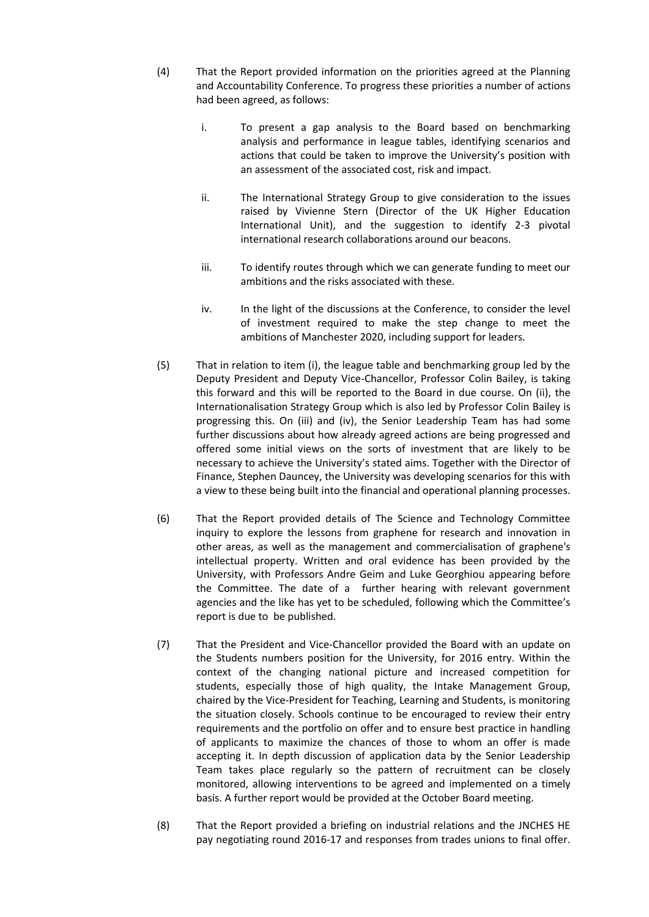- (4) That the Report provided information on the priorities agreed at the Planning and Accountability Conference. To progress these priorities a number of actions had been agreed, as follows:
	- i. To present a gap analysis to the Board based on benchmarking analysis and performance in league tables, identifying scenarios and actions that could be taken to improve the University's position with an assessment of the associated cost, risk and impact.
	- ii. The International Strategy Group to give consideration to the issues raised by Vivienne Stern (Director of the UK Higher Education International Unit), and the suggestion to identify 2-3 pivotal international research collaborations around our beacons.
	- iii. To identify routes through which we can generate funding to meet our ambitions and the risks associated with these.
	- iv. In the light of the discussions at the Conference, to consider the level of investment required to make the step change to meet the ambitions of Manchester 2020, including support for leaders.
- (5) That in relation to item (i), the league table and benchmarking group led by the Deputy President and Deputy Vice-Chancellor, Professor Colin Bailey, is taking this forward and this will be reported to the Board in due course. On (ii), the Internationalisation Strategy Group which is also led by Professor Colin Bailey is progressing this. On (iii) and (iv), the Senior Leadership Team has had some further discussions about how already agreed actions are being progressed and offered some initial views on the sorts of investment that are likely to be necessary to achieve the University's stated aims. Together with the Director of Finance, Stephen Dauncey, the University was developing scenarios for this with a view to these being built into the financial and operational planning processes.
- (6) That the Report provided details of The Science and Technology Committee inquiry to explore the lessons from graphene for research and innovation in other areas, as well as the management and commercialisation of graphene's intellectual property. Written and oral evidence has been provided by the University, with Professors Andre Geim and Luke Georghiou appearing before the Committee. The date of a further hearing with relevant government agencies and the like has yet to be scheduled, following which the Committee's report is due to be published.
- (7) That the President and Vice-Chancellor provided the Board with an update on the Students numbers position for the University, for 2016 entry. Within the context of the changing national picture and increased competition for students, especially those of high quality, the Intake Management Group, chaired by the Vice-President for Teaching, Learning and Students, is monitoring the situation closely. Schools continue to be encouraged to review their entry requirements and the portfolio on offer and to ensure best practice in handling of applicants to maximize the chances of those to whom an offer is made accepting it. In depth discussion of application data by the Senior Leadership Team takes place regularly so the pattern of recruitment can be closely monitored, allowing interventions to be agreed and implemented on a timely basis. A further report would be provided at the October Board meeting.
- (8) That the Report provided a briefing on industrial relations and the JNCHES HE pay negotiating round 2016-17 and responses from trades unions to final offer.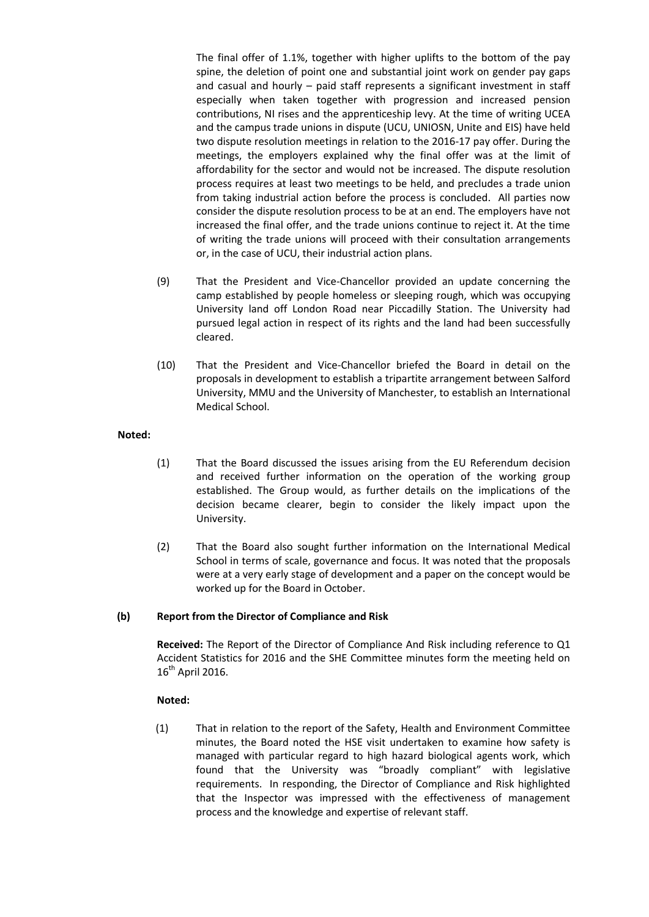The final offer of 1.1%, together with higher uplifts to the bottom of the pay spine, the deletion of point one and substantial joint work on gender pay gaps and casual and hourly – paid staff represents a significant investment in staff especially when taken together with progression and increased pension contributions, NI rises and the apprenticeship levy. At the time of writing UCEA and the campus trade unions in dispute (UCU, UNIOSN, Unite and EIS) have held two dispute resolution meetings in relation to the 2016-17 pay offer. During the meetings, the employers explained why the final offer was at the limit of affordability for the sector and would not be increased. The dispute resolution process requires at least two meetings to be held, and precludes a trade union from taking industrial action before the process is concluded. All parties now consider the dispute resolution process to be at an end. The employers have not increased the final offer, and the trade unions continue to reject it. At the time of writing the trade unions will proceed with their consultation arrangements or, in the case of UCU, their industrial action plans.

- (9) That the President and Vice-Chancellor provided an update concerning the camp established by people homeless or sleeping rough, which was occupying University land off London Road near Piccadilly Station. The University had pursued legal action in respect of its rights and the land had been successfully cleared.
- (10) That the President and Vice-Chancellor briefed the Board in detail on the proposals in development to establish a tripartite arrangement between Salford University, MMU and the University of Manchester, to establish an International Medical School.

# **Noted:**

- (1) That the Board discussed the issues arising from the EU Referendum decision and received further information on the operation of the working group established. The Group would, as further details on the implications of the decision became clearer, begin to consider the likely impact upon the University.
- (2) That the Board also sought further information on the International Medical School in terms of scale, governance and focus. It was noted that the proposals were at a very early stage of development and a paper on the concept would be worked up for the Board in October.

# **(b) Report from the Director of Compliance and Risk**

**Received:** The Report of the Director of Compliance And Risk including reference to Q1 Accident Statistics for 2016 and the SHE Committee minutes form the meeting held on  $16^{th}$  April 2016.

### **Noted:**

(1) That in relation to the report of the Safety, Health and Environment Committee minutes, the Board noted the HSE visit undertaken to examine how safety is managed with particular regard to high hazard biological agents work, which found that the University was "broadly compliant" with legislative requirements. In responding, the Director of Compliance and Risk highlighted that the Inspector was impressed with the effectiveness of management process and the knowledge and expertise of relevant staff.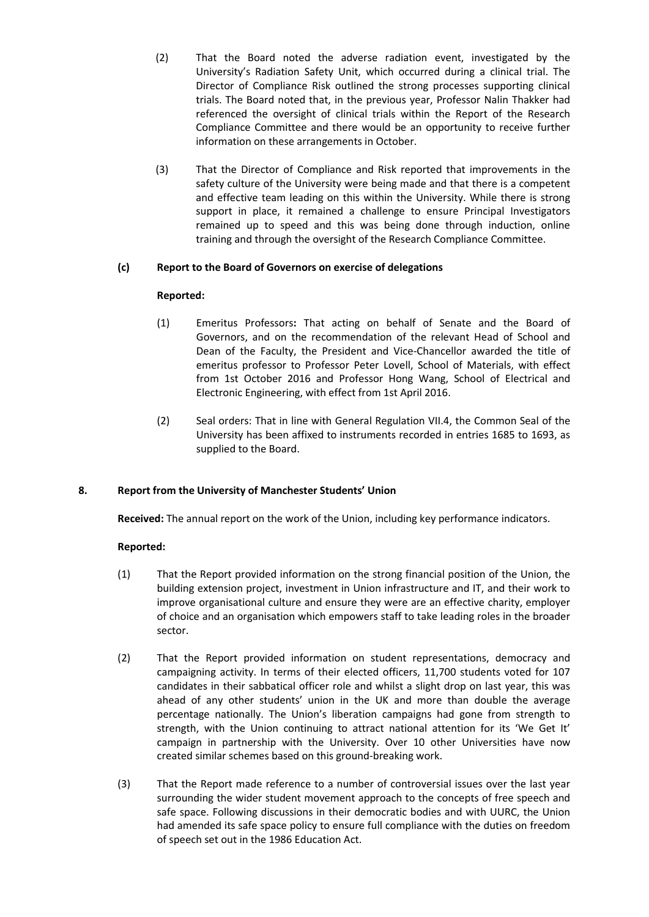- (2) That the Board noted the adverse radiation event, investigated by the University's Radiation Safety Unit, which occurred during a clinical trial. The Director of Compliance Risk outlined the strong processes supporting clinical trials. The Board noted that, in the previous year, Professor Nalin Thakker had referenced the oversight of clinical trials within the Report of the Research Compliance Committee and there would be an opportunity to receive further information on these arrangements in October.
- (3) That the Director of Compliance and Risk reported that improvements in the safety culture of the University were being made and that there is a competent and effective team leading on this within the University. While there is strong support in place, it remained a challenge to ensure Principal Investigators remained up to speed and this was being done through induction, online training and through the oversight of the Research Compliance Committee.

# **(c) Report to the Board of Governors on exercise of delegations**

# **Reported:**

- (1) Emeritus Professors**:** That acting on behalf of Senate and the Board of Governors, and on the recommendation of the relevant Head of School and Dean of the Faculty, the President and Vice-Chancellor awarded the title of emeritus professor to Professor Peter Lovell, School of Materials, with effect from 1st October 2016 and Professor Hong Wang, School of Electrical and Electronic Engineering, with effect from 1st April 2016.
- (2) Seal orders: That in line with General Regulation VII.4, the Common Seal of the University has been affixed to instruments recorded in entries 1685 to 1693, as supplied to the Board.

# **8. Report from the University of Manchester Students' Union**

**Received:** The annual report on the work of the Union, including key performance indicators.

- (1) That the Report provided information on the strong financial position of the Union, the building extension project, investment in Union infrastructure and IT, and their work to improve organisational culture and ensure they were are an effective charity, employer of choice and an organisation which empowers staff to take leading roles in the broader sector.
- (2) That the Report provided information on student representations, democracy and campaigning activity. In terms of their elected officers, 11,700 students voted for 107 candidates in their sabbatical officer role and whilst a slight drop on last year, this was ahead of any other students' union in the UK and more than double the average percentage nationally. The Union's liberation campaigns had gone from strength to strength, with the Union continuing to attract national attention for its 'We Get It' campaign in partnership with the University. Over 10 other Universities have now created similar schemes based on this ground-breaking work.
- (3) That the Report made reference to a number of controversial issues over the last year surrounding the wider student movement approach to the concepts of free speech and safe space. Following discussions in their democratic bodies and with UURC, the Union had amended its safe space policy to ensure full compliance with the duties on freedom of speech set out in the 1986 Education Act.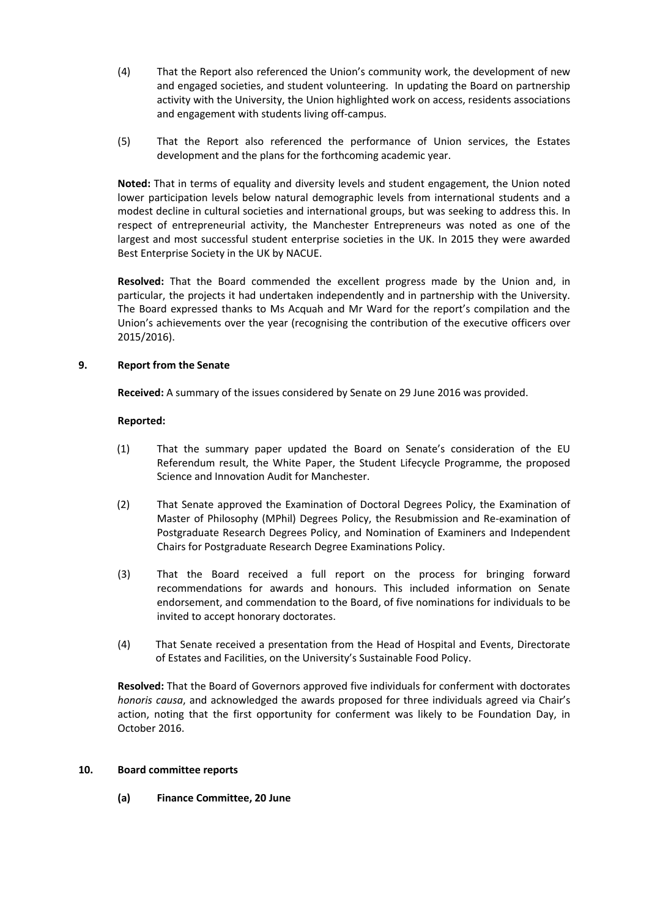- (4) That the Report also referenced the Union's community work, the development of new and engaged societies, and student volunteering. In updating the Board on partnership activity with the University, the Union highlighted work on access, residents associations and engagement with students living off-campus.
- (5) That the Report also referenced the performance of Union services, the Estates development and the plans for the forthcoming academic year.

**Noted:** That in terms of equality and diversity levels and student engagement, the Union noted lower participation levels below natural demographic levels from international students and a modest decline in cultural societies and international groups, but was seeking to address this. In respect of entrepreneurial activity, the Manchester Entrepreneurs was noted as one of the largest and most successful student enterprise societies in the UK. In 2015 they were awarded Best Enterprise Society in the UK by NACUE.

**Resolved:** That the Board commended the excellent progress made by the Union and, in particular, the projects it had undertaken independently and in partnership with the University. The Board expressed thanks to Ms Acquah and Mr Ward for the report's compilation and the Union's achievements over the year (recognising the contribution of the executive officers over 2015/2016).

# **9. Report from the Senate**

**Received:** A summary of the issues considered by Senate on 29 June 2016 was provided.

### **Reported:**

- (1) That the summary paper updated the Board on Senate's consideration of the EU Referendum result, the White Paper, the Student Lifecycle Programme, the proposed Science and Innovation Audit for Manchester.
- (2) That Senate approved the Examination of Doctoral Degrees Policy, the Examination of Master of Philosophy (MPhil) Degrees Policy, the Resubmission and Re-examination of Postgraduate Research Degrees Policy, and Nomination of Examiners and Independent Chairs for Postgraduate Research Degree Examinations Policy.
- (3) That the Board received a full report on the process for bringing forward recommendations for awards and honours. This included information on Senate endorsement, and commendation to the Board, of five nominations for individuals to be invited to accept honorary doctorates.
- (4) That Senate received a presentation from the Head of Hospital and Events, Directorate of Estates and Facilities, on the University's Sustainable Food Policy.

**Resolved:** That the Board of Governors approved five individuals for conferment with doctorates *honoris causa*, and acknowledged the awards proposed for three individuals agreed via Chair's action, noting that the first opportunity for conferment was likely to be Foundation Day, in October 2016.

### **10. Board committee reports**

**(a) Finance Committee, 20 June**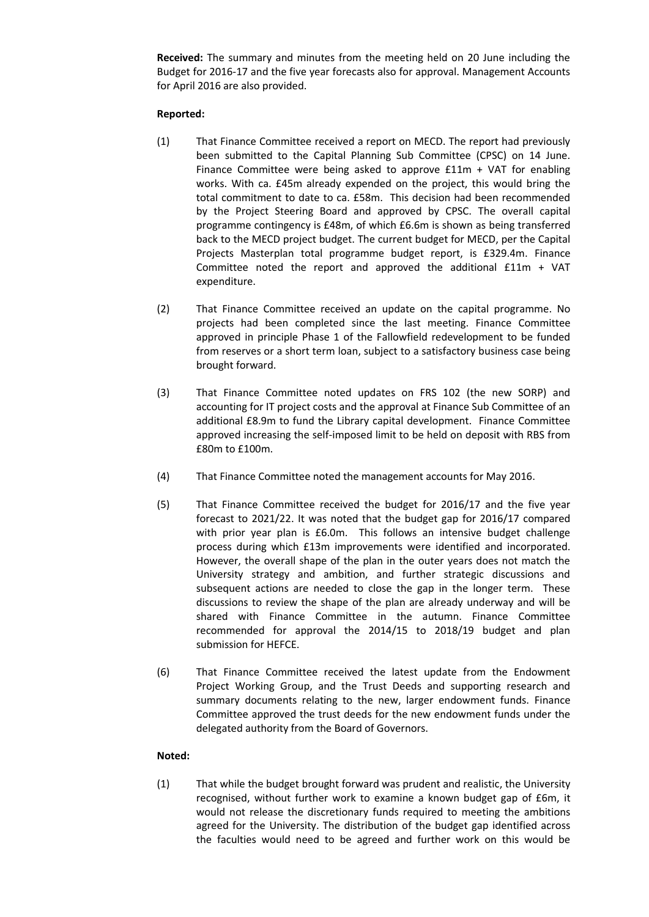**Received:** The summary and minutes from the meeting held on 20 June including the Budget for 2016-17 and the five year forecasts also for approval. Management Accounts for April 2016 are also provided.

### **Reported:**

- (1) That Finance Committee received a report on MECD. The report had previously been submitted to the Capital Planning Sub Committee (CPSC) on 14 June. Finance Committee were being asked to approve  $£11m + VAT$  for enabling works. With ca. £45m already expended on the project, this would bring the total commitment to date to ca. £58m. This decision had been recommended by the Project Steering Board and approved by CPSC. The overall capital programme contingency is £48m, of which £6.6m is shown as being transferred back to the MECD project budget. The current budget for MECD, per the Capital Projects Masterplan total programme budget report, is £329.4m. Finance Committee noted the report and approved the additional £11m + VAT expenditure.
- (2) That Finance Committee received an update on the capital programme. No projects had been completed since the last meeting. Finance Committee approved in principle Phase 1 of the Fallowfield redevelopment to be funded from reserves or a short term loan, subject to a satisfactory business case being brought forward.
- (3) That Finance Committee noted updates on FRS 102 (the new SORP) and accounting for IT project costs and the approval at Finance Sub Committee of an additional £8.9m to fund the Library capital development. Finance Committee approved increasing the self-imposed limit to be held on deposit with RBS from £80m to £100m.
- (4) That Finance Committee noted the management accounts for May 2016.
- (5) That Finance Committee received the budget for 2016/17 and the five year forecast to 2021/22. It was noted that the budget gap for 2016/17 compared with prior year plan is £6.0m. This follows an intensive budget challenge process during which £13m improvements were identified and incorporated. However, the overall shape of the plan in the outer years does not match the University strategy and ambition, and further strategic discussions and subsequent actions are needed to close the gap in the longer term. These discussions to review the shape of the plan are already underway and will be shared with Finance Committee in the autumn. Finance Committee recommended for approval the 2014/15 to 2018/19 budget and plan submission for HEFCE.
- (6) That Finance Committee received the latest update from the Endowment Project Working Group, and the Trust Deeds and supporting research and summary documents relating to the new, larger endowment funds. Finance Committee approved the trust deeds for the new endowment funds under the delegated authority from the Board of Governors.

# **Noted:**

(1) That while the budget brought forward was prudent and realistic, the University recognised, without further work to examine a known budget gap of £6m, it would not release the discretionary funds required to meeting the ambitions agreed for the University. The distribution of the budget gap identified across the faculties would need to be agreed and further work on this would be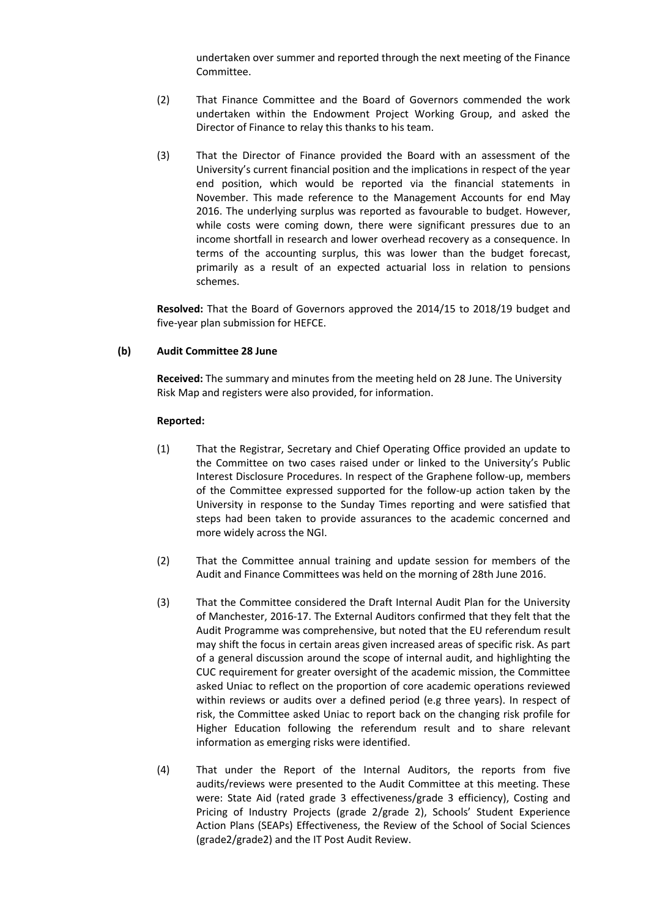undertaken over summer and reported through the next meeting of the Finance Committee.

- (2) That Finance Committee and the Board of Governors commended the work undertaken within the Endowment Project Working Group, and asked the Director of Finance to relay this thanks to his team.
- (3) That the Director of Finance provided the Board with an assessment of the University's current financial position and the implications in respect of the year end position, which would be reported via the financial statements in November. This made reference to the Management Accounts for end May 2016. The underlying surplus was reported as favourable to budget. However, while costs were coming down, there were significant pressures due to an income shortfall in research and lower overhead recovery as a consequence. In terms of the accounting surplus, this was lower than the budget forecast, primarily as a result of an expected actuarial loss in relation to pensions schemes.

**Resolved:** That the Board of Governors approved the 2014/15 to 2018/19 budget and five-year plan submission for HEFCE.

### **(b) Audit Committee 28 June**

**Received:** The summary and minutes from the meeting held on 28 June. The University Risk Map and registers were also provided, for information.

- (1) That the Registrar, Secretary and Chief Operating Office provided an update to the Committee on two cases raised under or linked to the University's Public Interest Disclosure Procedures. In respect of the Graphene follow-up, members of the Committee expressed supported for the follow-up action taken by the University in response to the Sunday Times reporting and were satisfied that steps had been taken to provide assurances to the academic concerned and more widely across the NGI.
- (2) That the Committee annual training and update session for members of the Audit and Finance Committees was held on the morning of 28th June 2016.
- (3) That the Committee considered the Draft Internal Audit Plan for the University of Manchester, 2016-17. The External Auditors confirmed that they felt that the Audit Programme was comprehensive, but noted that the EU referendum result may shift the focus in certain areas given increased areas of specific risk. As part of a general discussion around the scope of internal audit, and highlighting the CUC requirement for greater oversight of the academic mission, the Committee asked Uniac to reflect on the proportion of core academic operations reviewed within reviews or audits over a defined period (e.g three years). In respect of risk, the Committee asked Uniac to report back on the changing risk profile for Higher Education following the referendum result and to share relevant information as emerging risks were identified.
- (4) That under the Report of the Internal Auditors, the reports from five audits/reviews were presented to the Audit Committee at this meeting. These were: State Aid (rated grade 3 effectiveness/grade 3 efficiency), Costing and Pricing of Industry Projects (grade 2/grade 2), Schools' Student Experience Action Plans (SEAPs) Effectiveness, the Review of the School of Social Sciences (grade2/grade2) and the IT Post Audit Review.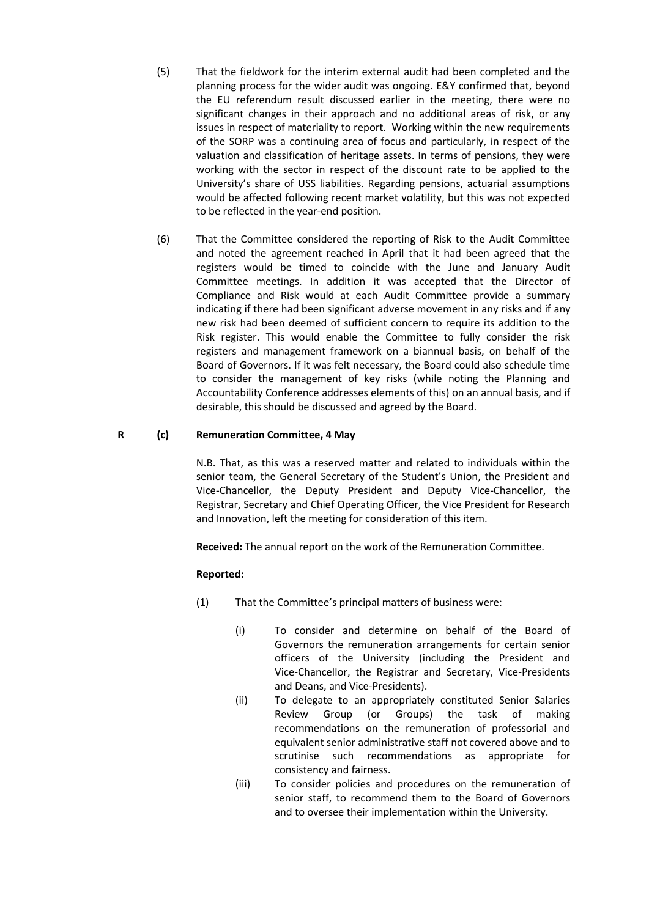- (5) That the fieldwork for the interim external audit had been completed and the planning process for the wider audit was ongoing. E&Y confirmed that, beyond the EU referendum result discussed earlier in the meeting, there were no significant changes in their approach and no additional areas of risk, or any issues in respect of materiality to report. Working within the new requirements of the SORP was a continuing area of focus and particularly, in respect of the valuation and classification of heritage assets. In terms of pensions, they were working with the sector in respect of the discount rate to be applied to the University's share of USS liabilities. Regarding pensions, actuarial assumptions would be affected following recent market volatility, but this was not expected to be reflected in the year-end position.
- (6) That the Committee considered the reporting of Risk to the Audit Committee and noted the agreement reached in April that it had been agreed that the registers would be timed to coincide with the June and January Audit Committee meetings. In addition it was accepted that the Director of Compliance and Risk would at each Audit Committee provide a summary indicating if there had been significant adverse movement in any risks and if any new risk had been deemed of sufficient concern to require its addition to the Risk register. This would enable the Committee to fully consider the risk registers and management framework on a biannual basis, on behalf of the Board of Governors. If it was felt necessary, the Board could also schedule time to consider the management of key risks (while noting the Planning and Accountability Conference addresses elements of this) on an annual basis, and if desirable, this should be discussed and agreed by the Board.

### **R (c) Remuneration Committee, 4 May**

N.B. That, as this was a reserved matter and related to individuals within the senior team, the General Secretary of the Student's Union, the President and Vice-Chancellor, the Deputy President and Deputy Vice-Chancellor, the Registrar, Secretary and Chief Operating Officer, the Vice President for Research and Innovation, left the meeting for consideration of this item.

**Received:** The annual report on the work of the Remuneration Committee.

- (1) That the Committee's principal matters of business were:
	- (i) To consider and determine on behalf of the Board of Governors the remuneration arrangements for certain senior officers of the University (including the President and Vice-Chancellor, the Registrar and Secretary, Vice-Presidents and Deans, and Vice-Presidents).
	- (ii) To delegate to an appropriately constituted Senior Salaries Review Group (or Groups) the task of making recommendations on the remuneration of professorial and equivalent senior administrative staff not covered above and to scrutinise such recommendations as appropriate for consistency and fairness.
	- (iii) To consider policies and procedures on the remuneration of senior staff, to recommend them to the Board of Governors and to oversee their implementation within the University.